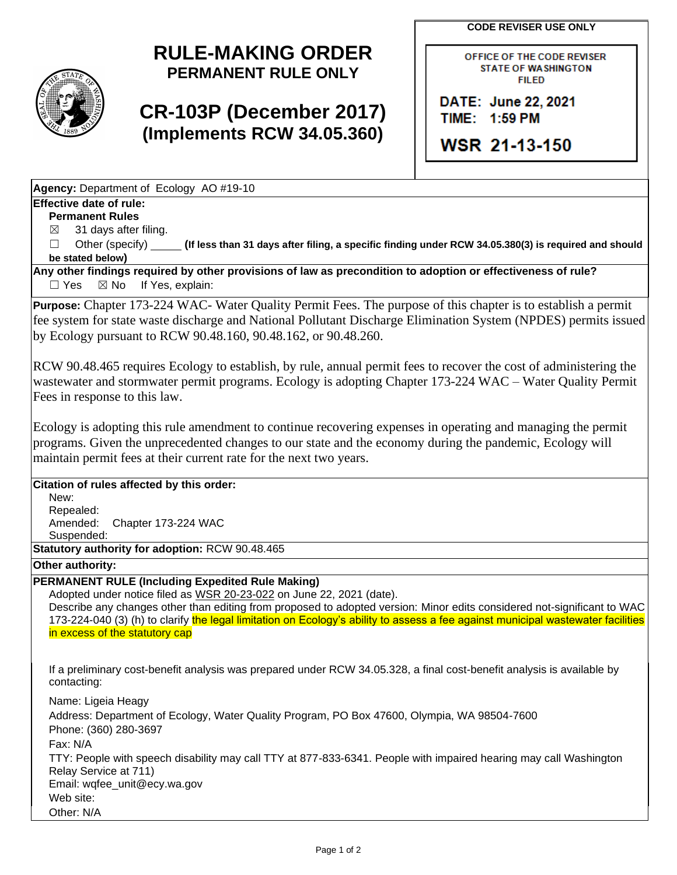**CODE REVISER USE ONLY**



## **RULE-MAKING ORDER PERMANENT RULE ONLY**

## **CR-103P (December 2017) (Implements RCW 34.05.360)**

OFFICE OF THE CODE REVISER **STATE OF WASHINGTON FILED** 

DATE: June 22, 2021 TIME: 1:59 PM

**WSR 21-13-150** 

**Agency:** Department of Ecology AO #19-10

## **Effective date of rule:**

**Permanent Rules**

 $\boxtimes$  31 days after filing.

☐ Other (specify) **(If less than 31 days after filing, a specific finding under RCW 34.05.380(3) is required and should be stated below)**

**Any other findings required by other provisions of law as precondition to adoption or effectiveness of rule?** □ Yes ⊠ No If Yes, explain:

**Purpose:** Chapter 173-224 WAC- Water Quality Permit Fees. The purpose of this chapter is to establish a permit fee system for state waste discharge and National Pollutant Discharge Elimination System (NPDES) permits issued by Ecology pursuant to RCW 90.48.160, 90.48.162, or 90.48.260.

RCW 90.48.465 requires Ecology to establish, by rule, annual permit fees to recover the cost of administering the wastewater and stormwater permit programs. Ecology is adopting Chapter 173-224 WAC – Water Quality Permit Fees in response to this law.

Ecology is adopting this rule amendment to continue recovering expenses in operating and managing the permit programs. Given the unprecedented changes to our state and the economy during the pandemic, Ecology will maintain permit fees at their current rate for the next two years.

## **Citation of rules affected by this order:**

New:

Repealed: Amended: Chapter 173-224 WAC

Suspended:

**Statutory authority for adoption:** RCW 90.48.465

**Other authority:** 

**PERMANENT RULE (Including Expedited Rule Making)**

Adopted under notice filed as WSR 20-23-022 on June 22, 2021 (date).

Describe any changes other than editing from proposed to adopted version: Minor edits considered not-significant to WAC 173-224-040 (3) (h) to clarify the legal limitation on Ecology's ability to assess a fee against municipal wastewater facilities in excess of the statutory cap

If a preliminary cost-benefit analysis was prepared under RCW 34.05.328, a final cost-benefit analysis is available by contacting:

Name: Ligeia Heagy Address: Department of Ecology, Water Quality Program, PO Box 47600, Olympia, WA 98504-7600 Phone: (360) 280-3697 Fax: N/A TTY: People with speech disability may call TTY at 877-833-6341. People with impaired hearing may call Washington Relay Service at 711) Email: wqfee\_unit@ecy.wa.gov Web site: Other: N/A